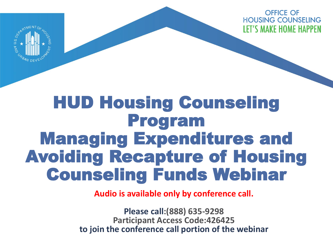**OFFICE OF HOUSING COUNSELING LET'S MAKE HOME HAPPEN** 



## HUD Housing Counseling Program Managing Expenditures and Avoiding Recapture of Housing Counseling Funds Webinar

**Audio is available only by conference call.**

**Please call:(888) 635-9298 Participant Access Code:426425 to join the conference call portion of the webinar**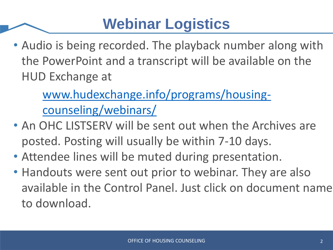## **Webinar Logistics**

• Audio is being recorded. The playback number along with the PowerPoint and a transcript will be available on the HUD Exchange at

[www.hudexchange.info/programs/housing](http://www.hudexchange.info/programs/housing-counseling/webinars/)counseling/webinars/

- An OHC LISTSERV will be sent out when the Archives are posted. Posting will usually be within 7-10 days.
- Attendee lines will be muted during presentation.
- Handouts were sent out prior to webinar. They are also available in the Control Panel. Just click on document name to download.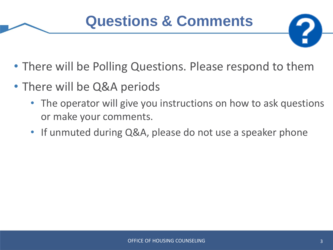## **Questions & Comments**



- There will be Polling Questions. Please respond to them
- There will be Q&A periods
	- The operator will give you instructions on how to ask questions or make your comments.
	- If unmuted during Q&A, please do not use a speaker phone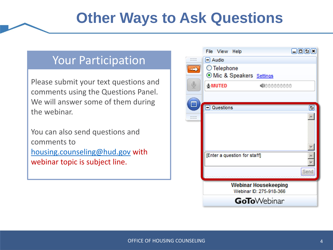## **Other Ways to Ask Questions**

#### Your Participation

Please submit your text questions and comments using the Questions Panel. We will answer some of them during the webinar.

You can also send questions and comments to [housing.counseling@hud.gov](mailto:housing.counseling@hud.gov) with webinar topic is subject line.

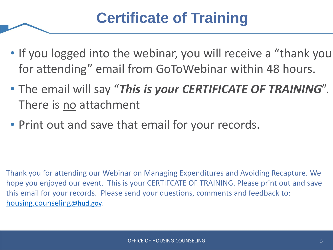- If you logged into the webinar, you will receive a "thank you for attending" email from GoToWebinar within 48 hours.
- The email will say "*This is your CERTIFICATE OF TRAINING*". There is no attachment
- Print out and save that email for your records.

Thank you for attending our Webinar on Managing Expenditures and Avoiding Recapture. We hope you enjoyed our event. This is your CERTIFCATE OF TRAINING. Please print out and save this email for your records. Please send your questions, comments and feedback to: [housing.counseling](mailto:housing.counseling@hud.gov)@hud.gov.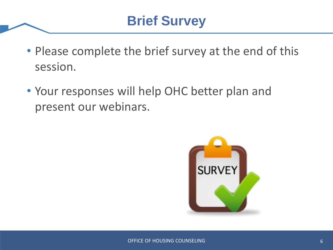### **Brief Survey**

- Please complete the brief survey at the end of this session.
- Your responses will help OHC better plan and present our webinars.

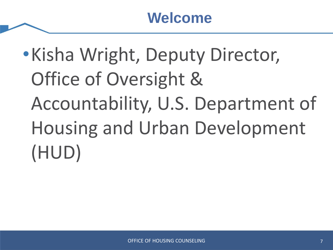## **Welcome**

# •Kisha Wright, Deputy Director, Office of Oversight & Accountability, U.S. Department of Housing and Urban Development (HUD)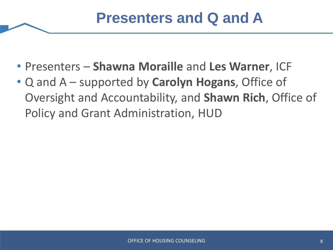## **Presenters and Q and A**

- Presenters **Shawna Moraille** and **Les Warner**, ICF
- Q and A supported by **Carolyn Hogans**, Office of Oversight and Accountability, and **Shawn Rich**, Office of Policy and Grant Administration, HUD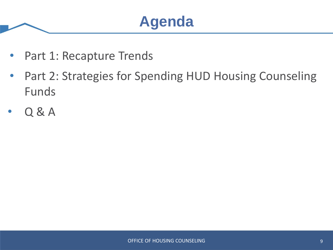## **Agenda**

- Part 1: Recapture Trends
- $\bullet$ Part 2: Strategies for Spending HUD Housing Counseling Funds
- Q & A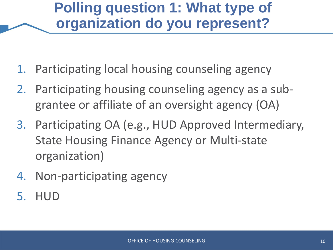### **Polling question 1: What type of organization do you represent?**

- 1. Participating local housing counseling agency
- 2. Participating housing counseling agency as a subgrantee or affiliate of an oversight agency (OA)
- 3. Participating OA (e.g., HUD Approved Intermediary, State Housing Finance Agency or Multi-state organization)
- 4. Non-participating agency
- 5. HUD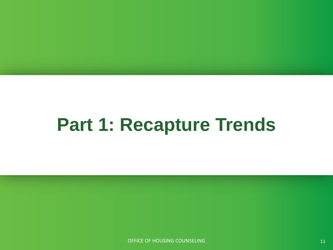## **Part 1: Recapture Trends**

OFFICE OF HOUSING COUNSELING 11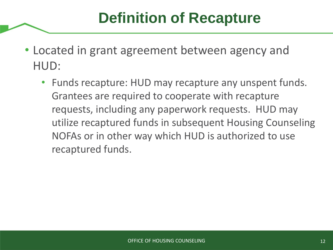## **Definition of Recapture**

- Located in grant agreement between agency and HUD:
	- Funds recapture: HUD may recapture any unspent funds. Grantees are required to cooperate with recapture requests, including any paperwork requests. HUD may utilize recaptured funds in subsequent Housing Counseling NOFAs or in other way which HUD is authorized to use recaptured funds.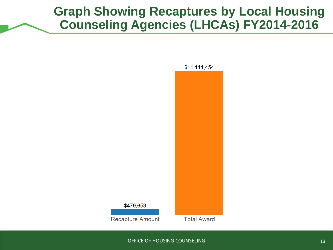#### **Graph Showing Recaptures by Local Housing Counseling Agencies (LHCAs) FY2014-2016**



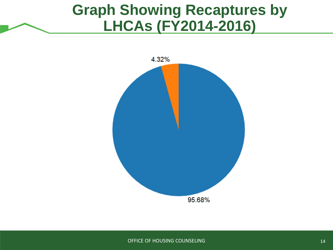### **Graph Showing Recaptures by LHCAs (FY2014-2016)**



OFFICE OF HOUSING COUNSELING 14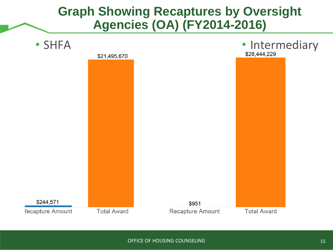#### **Graph Showing Recaptures by Oversight Agencies (OA) (FY2014-2016)**

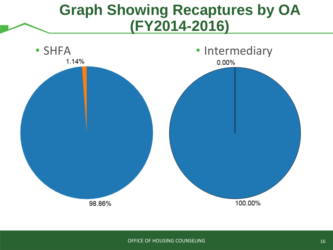### **Graph Showing Recaptures by OA (FY2014-2016)**

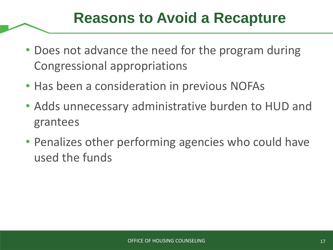## **Reasons to Avoid a Recapture**

- Does not advance the need for the program during Congressional appropriations
- Has been a consideration in previous NOFAs
- Adds unnecessary administrative burden to HUD and grantees
- Penalizes other performing agencies who could have used the funds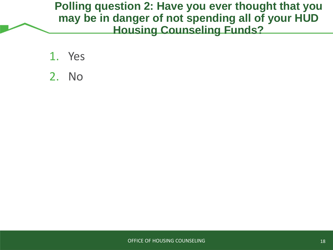**Polling question 2: Have you ever thought that you may be in danger of not spending all of your HUD Housing Counseling Funds?**

- 1. Yes
- 2. No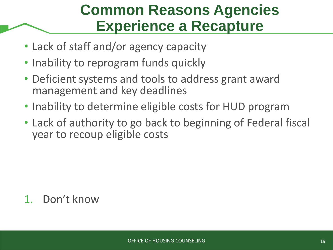## **Common Reasons Agencies Experience a Recapture**

- Lack of staff and/or agency capacity
- Inability to reprogram funds quickly
- Deficient systems and tools to address grant award management and key deadlines
- Inability to determine eligible costs for HUD program
- Lack of authority to go back to beginning of Federal fiscal year to recoup eligible costs

#### 1. Don't know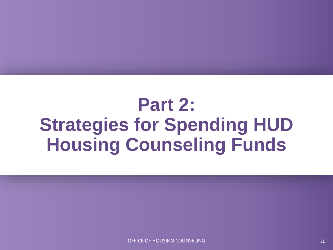## **Part 2: Strategies for Spending HUD Housing Counseling Funds**

OFFICE OF HOUSING COUNSELING 20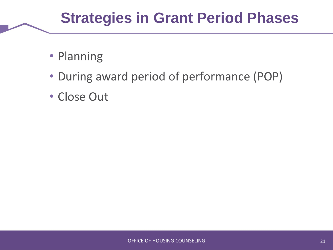## **Strategies in Grant Period Phases**

- Planning
- During award period of performance (POP)
- Close Out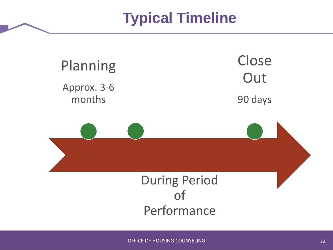## **Typical Timeline**

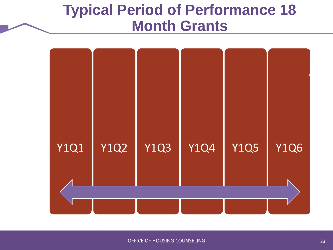### **Typical Period of Performance 18 Month Grants**



OFFICE OF HOUSING COUNSELING 23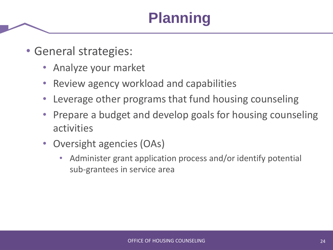## **Planning**

- General strategies:
	- Analyze your market
	- Review agency workload and capabilities
	- Leverage other programs that fund housing counseling
	- Prepare a budget and develop goals for housing counseling activities
	- Oversight agencies (OAs)
		- $\bullet$ Administer grant application process and/or identify potential sub-grantees in service area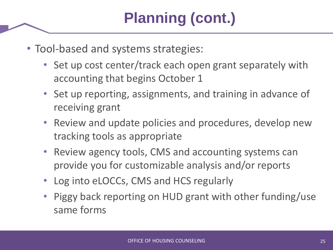## **Planning (cont.)**

- Tool-based and systems strategies:
	- Set up cost center/track each open grant separately with accounting that begins October 1
	- Set up reporting, assignments, and training in advance of receiving grant
	- Review and update policies and procedures, develop new tracking tools as appropriate
	- Review agency tools, CMS and accounting systems can provide you for customizable analysis and/or reports
	- Log into eLOCCs, CMS and HCS regularly
	- Piggy back reporting on HUD grant with other funding/use same forms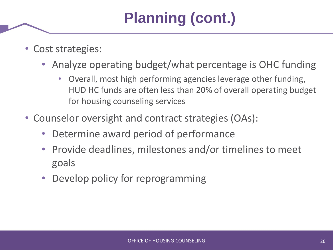## **Planning (cont.)**

- Cost strategies:
	- Analyze operating budget/what percentage is OHC funding
		- Overall, most high performing agencies leverage other funding, HUD HC funds are often less than 20% of overall operating budget for housing counseling services
- Counselor oversight and contract strategies (OAs):
	- Determine award period of performance
	- Provide deadlines, milestones and/or timelines to meet goals
	- Develop policy for reprogramming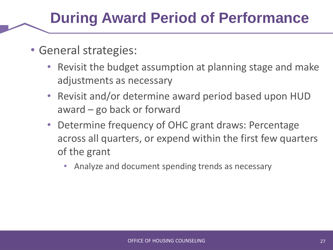## **During Award Period of Performance**

- General strategies:
	- Revisit the budget assumption at planning stage and make adjustments as necessary
	- Revisit and/or determine award period based upon HUD award – go back or forward
	- Determine frequency of OHC grant draws: Percentage across all quarters, or expend within the first few quarters of the grant
		- $\bullet$ Analyze and document spending trends as necessary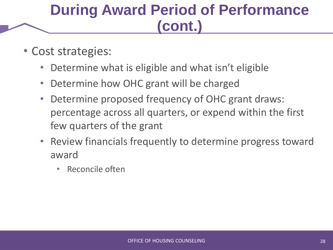- Cost strategies:
	- Determine what is eligible and what isn't eligible
	- Determine how OHC grant will be charged
	- Determine proposed frequency of OHC grant draws: percentage across all quarters, or expend within the first few quarters of the grant
	- Review financials frequently to determine progress toward award
		- Reconcile often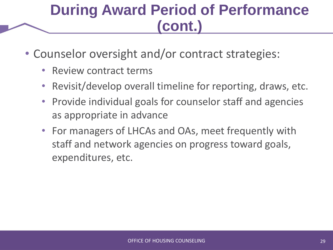- Counselor oversight and/or contract strategies:
	- Review contract terms
	- Revisit/develop overall timeline for reporting, draws, etc.
	- Provide individual goals for counselor staff and agencies as appropriate in advance
	- For managers of LHCAs and OAs, meet frequently with staff and network agencies on progress toward goals, expenditures, etc.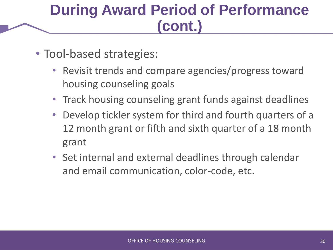- Tool-based strategies:
	- Revisit trends and compare agencies/progress toward housing counseling goals
	- Track housing counseling grant funds against deadlines
	- Develop tickler system for third and fourth quarters of a 12 month grant or fifth and sixth quarter of a 18 month grant
	- Set internal and external deadlines through calendar and email communication, color-code, etc.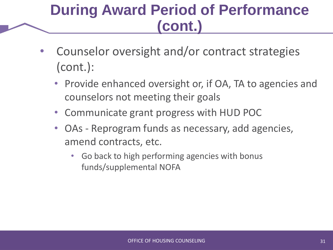- Counselor oversight and/or contract strategies (cont.):
	- Provide enhanced oversight or, if OA, TA to agencies and counselors not meeting their goals
	- Communicate grant progress with HUD POC
	- OAs - Reprogram funds as necessary, add agencies, amend contracts, etc.
		- Go back to high performing agencies with bonus funds/supplemental NOFA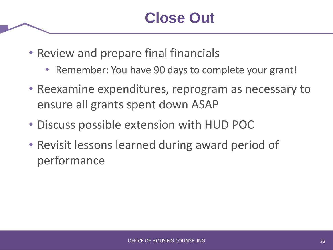## **Close Out**

- Review and prepare final financials
	- Remember: You have 90 days to complete your grant!
- Reexamine expenditures, reprogram as necessary to ensure all grants spent down ASAP
- Discuss possible extension with HUD POC
- Revisit lessons learned during award period of performance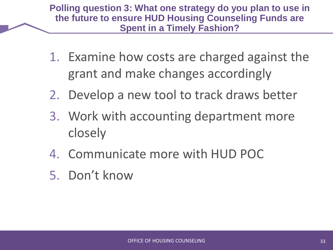**Polling question 3: What one strategy do you plan to use in the future to ensure HUD Housing Counseling Funds are Spent in a Timely Fashion?** 

- 1. Examine how costs are charged against the grant and make changes accordingly
- 2. Develop a new tool to track draws better
- 3. Work with accounting department more closely
- 4. Communicate more with HUD POC
- 5. Don't know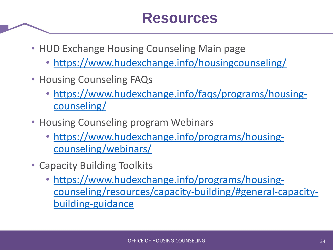### **Resources**

- HUD Exchange Housing Counseling Main page
	- <https://www.hudexchange.info/housingcounseling/>
- Housing Counseling FAQs
	- [https://www.hudexchange.info/faqs/programs/housing](https://www.hudexchange.info/faqs/programs/housing-counseling/)counseling/
- Housing Counseling program Webinars
	- [https://www.hudexchange.info/programs/housing](https://www.hudexchange.info/programs/housing-counseling/webinars/)counseling/webinars/
- Capacity Building Toolkits
	- https://www.hudexchange.info/programs/housing[counseling/resources/capacity-building/#general-capacity](https://www.hudexchange.info/programs/housing-counseling/resources/capacity-building/#general-capacity-building-guidance)building-guidance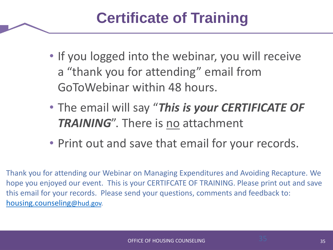- If you logged into the webinar, you will receive a "thank you for attending" email from GoToWebinar within 48 hours.
- The email will say "*This is your CERTIFICATE OF*  **TRAINING**". There is no attachment
- Print out and save that email for your records.

Thank you for attending our Webinar on Managing Expenditures and Avoiding Recapture. We hope you enjoyed our event. This is your CERTIFCATE OF TRAINING. Please print out and save this email for your records. Please send your questions, comments and feedback to: [housing.counseling](mailto:housing.counseling@hud.gov)@hud.gov.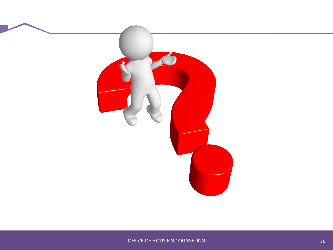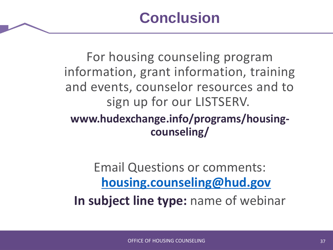## **Conclusion**

For housing counseling program information, grant information, training and events, counselor resources and to sign up for our LISTSERV. **[www.hudexchange.info/programs/housing-](http://www.hudexchange.info/programs/housing-counseling/)**

# **counseling/**

Email Questions or comments: **[housing.counseling@hud.gov](mailto:housing.counseling@hud.gov)**

**In subject line type:** name of webinar